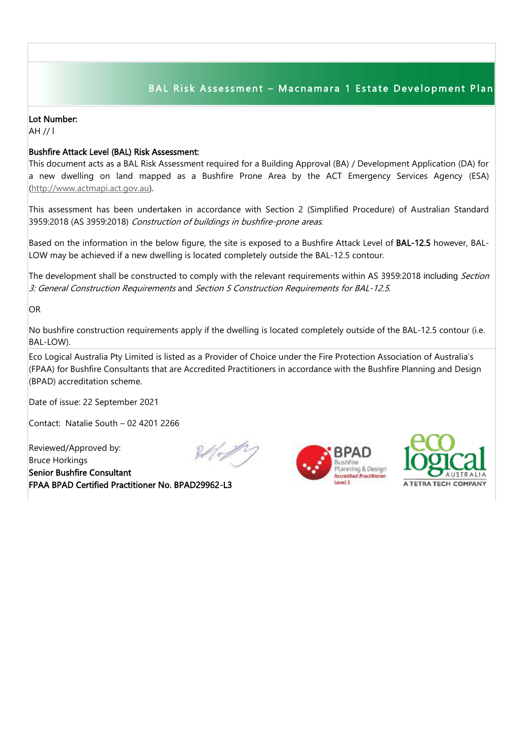## BAL Risk Assessment - Macnamara 1 Estate Development Plan

## Lot Number:

AH // l

## Bushfire Attack Level (BAL) Risk Assessment:

This document acts as a BAL Risk Assessment required for a Building Approval (BA) / Development Application (DA) for a new dwelling on land mapped as a Bushfire Prone Area by the ACT Emergency Services Agency (ESA) [\(http://www.actmapi.act.gov.au\)](http://www.actmapi.act.gov.au/).

This assessment has been undertaken in accordance with Section 2 (Simplified Procedure) of Australian Standard 3959:2018 (AS 3959:2018) Construction of buildings in bushfire-prone areas.

Based on the information in the below figure, the site is exposed to a Bushfire Attack Level of BAL-12.5 however, BAL-LOW may be achieved if a new dwelling is located completely outside the BAL-12.5 contour.

The development shall be constructed to comply with the relevant requirements within AS 3959:2018 including Section 3: General Construction Requirements and Section 5 Construction Requirements for BAL-12.5.

OR

No bushfire construction requirements apply if the dwelling is located completely outside of the BAL-12.5 contour (i.e. BAL-LOW).

Eco Logical Australia Pty Limited is listed as a Provider of Choice under the Fire Protection Association of Australia's (FPAA) for Bushfire Consultants that are Accredited Practitioners in accordance with the Bushfire Planning and Design (BPAD) accreditation scheme.

Date of issue: 22 September 2021

Contact: Natalie South – 02 4201 2266

Reviewed/Approved by: Bruce Horkings Senior Bushfire Consultant FPAA BPAD Certified Practitioner No. BPAD29962-L3







I